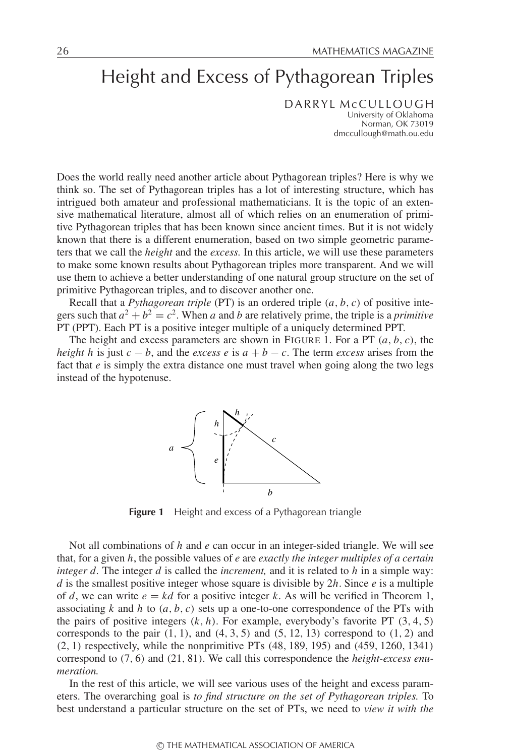# Height and Excess of Pythagorean Triples

DARRYL McCULLOUGH University of Oklahoma Norman, OK 73019 dmccullough@math.ou.edu

Does the world really need another article about Pythagorean triples? Here is why we think so. The set of Pythagorean triples has a lot of interesting structure, which has intrigued both amateur and professional mathematicians. It is the topic of an extensive mathematical literature, almost all of which relies on an enumeration of primitive Pythagorean triples that has been known since ancient times. But it is not widely known that there is a different enumeration, based on two simple geometric parameters that we call the *height* and the *excess.* In this article, we will use these parameters to make some known results about Pythagorean triples more transparent. And we will use them to achieve a better understanding of one natural group structure on the set of primitive Pythagorean triples, and to discover another one.

Recall that a *Pythagorean triple* (PT) is an ordered triple (*a*, *b*, *c*) of positive integers such that  $a^2 + b^2 = c^2$ . When *a* and *b* are relatively prime, the triple is a *primitive* PT (PPT). Each PT is a positive integer multiple of a uniquely determined PPT.

The height and excess parameters are shown in FIGURE 1. For a PT  $(a, b, c)$ , the *height h* is just  $c - b$ , and the *excess e* is  $a + b - c$ . The term *excess* arises from the fact that *e* is simply the extra distance one must travel when going along the two legs instead of the hypotenuse.



**Figure 1** Height and excess of a Pythagorean triangle

Not all combinations of *h* and *e* can occur in an integer-sided triangle. We will see that, for a given *h*, the possible values of *e* are *exactly the integer multiples of a certain integer d.* The integer *d* is called the *increment,* and it is related to *h* in a simple way: *d* is the smallest positive integer whose square is divisible by 2*h*. Since *e* is a multiple of *d*, we can write  $e = kd$  for a positive integer *k*. As will be verified in Theorem 1, associating  $k$  and  $h$  to  $(a, b, c)$  sets up a one-to-one correspondence of the PTs with the pairs of positive integers  $(k, h)$ . For example, everybody's favorite PT  $(3, 4, 5)$ corresponds to the pair  $(1, 1)$ , and  $(4, 3, 5)$  and  $(5, 12, 13)$  correspond to  $(1, 2)$  and (2, 1) respectively, while the nonprimitive PTs (48, 189, 195) and (459, 1260, 1341) correspond to (7, 6) and (21, 81). We call this correspondence the *height-excess enumeration.*

In the rest of this article, we will see various uses of the height and excess parameters. The overarching goal is *to find structure on the set of Pythagorean triples.* To best understand a particular structure on the set of PTs, we need to *view it with the*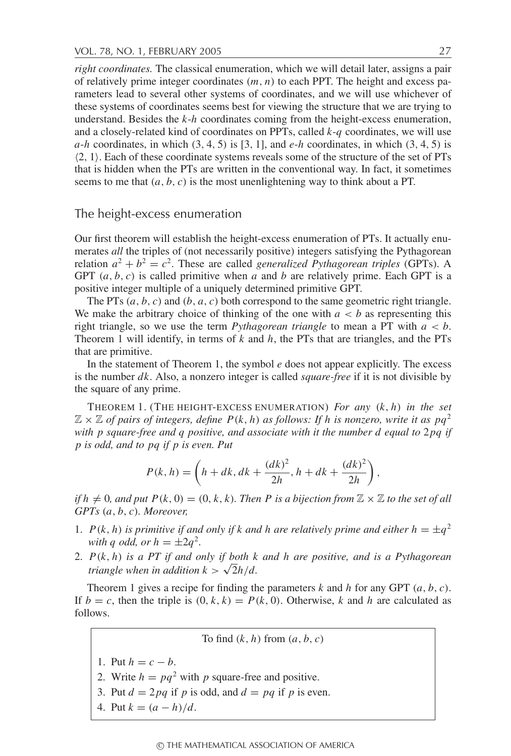*right coordinates.* The classical enumeration, which we will detail later, assigns a pair of relatively prime integer coordinates (*m*, *n*) to each PPT. The height and excess parameters lead to several other systems of coordinates, and we will use whichever of these systems of coordinates seems best for viewing the structure that we are trying to understand. Besides the *k*-*h* coordinates coming from the height-excess enumeration, and a closely-related kind of coordinates on PPTs, called *k*-*q* coordinates, we will use  $a-h$  coordinates, in which  $(3, 4, 5)$  is [3, 1], and  $e-h$  coordinates, in which  $(3, 4, 5)$  is  $(2, 1)$ . Each of these coordinate systems reveals some of the structure of the set of PTs that is hidden when the PTs are written in the conventional way. In fact, it sometimes seems to me that  $(a, b, c)$  is the most unenlightening way to think about a PT.

# The height-excess enumeration

Our first theorem will establish the height-excess enumeration of PTs. It actually enumerates *all* the triples of (not necessarily positive) integers satisfying the Pythagorean relation  $a^2 + b^2 = c^2$ . These are called *generalized Pythagorean triples* (GPTs). A GPT  $(a, b, c)$  is called primitive when *a* and *b* are relatively prime. Each GPT is a positive integer multiple of a uniquely determined primitive GPT.

The PTs (*a*, *b*, *c*) and (*b*, *a*, *c*) both correspond to the same geometric right triangle. We make the arbitrary choice of thinking of the one with  $a < b$  as representing this right triangle, so we use the term *Pythagorean triangle* to mean a PT with *a* < *b*. Theorem 1 will identify, in terms of *k* and *h*, the PTs that are triangles, and the PTs that are primitive.

In the statement of Theorem 1, the symbol *e* does not appear explicitly. The excess is the number *dk*. Also, a nonzero integer is called *square-free* if it is not divisible by the square of any prime.

THEOREM 1. (THE HEIGHT-EXCESS ENUMERATION) *For any* (*k*, *h*) *in the set*  $\mathbb{Z} \times \mathbb{Z}$  *of pairs of integers, define*  $P(k, h)$  *as follows: If h is nonzero, write it as pq*<sup>2</sup> *with p square-free and q positive, and associate with it the number d equal to*  $2pq$  *if p is odd, and to pq if p is even. Put*

$$
P(k, h) = \left(h + dk, dk + \frac{(dk)^2}{2h}, h + dk + \frac{(dk)^2}{2h}\right),
$$

*if*  $h \neq 0$ , and put  $P(k, 0) = (0, k, k)$ . Then P is a bijection from  $\mathbb{Z} \times \mathbb{Z}$  to the set of all *GPTs* (*a*, *b*, *c*)*. Moreover,*

- 1. *P*(*k*, *h*) *is primitive if and only if k and h are relatively prime and either*  $h = \pm q^2$ *with q odd, or*  $h = \pm 2q^2$ *.*
- 2. *P*(*k*, *h*) *is a PT if and only if both k and h are positive, and is a Pythagorean triangle when in addition*  $k > \sqrt{2h/d}$ .

Theorem 1 gives a recipe for finding the parameters  $k$  and  $h$  for any GPT  $(a, b, c)$ . If  $b = c$ , then the triple is  $(0, k, k) = P(k, 0)$ . Otherwise, *k* and *h* are calculated as follows.

To find  $(k, h)$  from  $(a, b, c)$ 

- 1. Put  $h = c b$ .
- 2. Write  $h = pq^2$  with p square-free and positive.
- 3. Put  $d = 2pq$  if *p* is odd, and  $d = pq$  if *p* is even.
- 4. Put  $k = (a h)/d$ .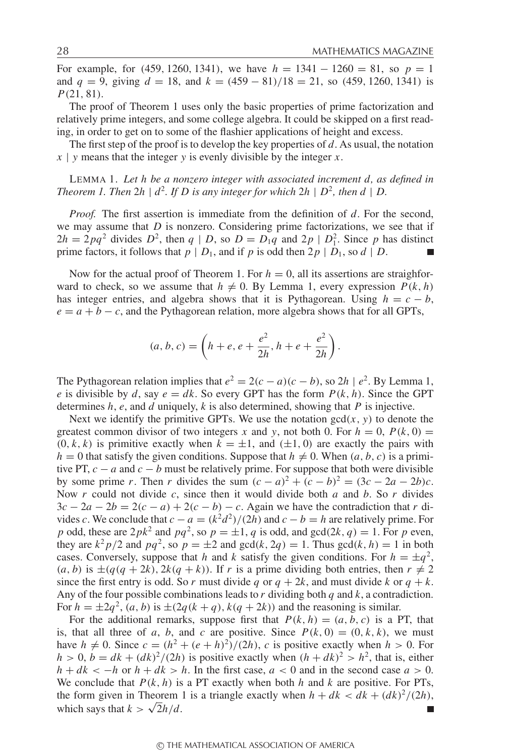For example, for (459, 1260, 1341), we have  $h = 1341 - 1260 = 81$ , so  $p = 1$ and  $q = 9$ , giving  $d = 18$ , and  $k = (459 - 81)/18 = 21$ , so  $(459, 1260, 1341)$  is *P*(21, 81).

The proof of Theorem 1 uses only the basic properties of prime factorization and relatively prime integers, and some college algebra. It could be skipped on a first reading, in order to get on to some of the flashier applications of height and excess.

The first step of the proof is to develop the key properties of *d*. As usual, the notation *x* | *y* means that the integer *y* is evenly divisible by the integer *x*.

LEMMA 1. *Let h be a nonzero integer with associated increment d, as defined in Theorem 1. Then*  $2h \mid d^2$ *. If D* is any integer for which  $2h \mid D^2$ *, then*  $d \mid D$ *.* 

*Proof.* The first assertion is immediate from the definition of *d*. For the second, we may assume that  $D$  is nonzero. Considering prime factorizations, we see that if  $2h = 2pq^2$  divides  $D^2$ , then  $q | D$ , so  $D = D_1q$  and  $2p | D_1^2$ . Since p has distinct prime factors, it follows that  $p \mid D_1$ , and if  $p$  is odd then  $2p \mid D_1$ , so  $d \mid D$ .

Now for the actual proof of Theorem 1. For  $h = 0$ , all its assertions are straighforward to check, so we assume that  $h \neq 0$ . By Lemma 1, every expression  $P(k, h)$ has integer entries, and algebra shows that it is Pythagorean. Using  $h = c - b$ ,  $e = a + b - c$ , and the Pythagorean relation, more algebra shows that for all GPTs,

$$
(a, b, c) = \left(h + e, e + \frac{e^2}{2h}, h + e + \frac{e^2}{2h}\right).
$$

The Pythagorean relation implies that  $e^2 = 2(c - a)(c - b)$ , so  $2h \mid e^2$ . By Lemma 1, *e* is divisible by *d*, say  $e = dk$ . So every GPT has the form  $P(k, h)$ . Since the GPT determines *h*, *e*, and *d* uniquely, *k* is also determined, showing that *P* is injective.

Next we identify the primitive GPTs. We use the notation  $gcd(x, y)$  to denote the greatest common divisor of two integers *x* and *y*, not both 0. For  $h = 0$ ,  $P(k, 0) =$  $(0, k, k)$  is primitive exactly when  $k = \pm 1$ , and  $(\pm 1, 0)$  are exactly the pairs with  $h = 0$  that satisfy the given conditions. Suppose that  $h \neq 0$ . When  $(a, b, c)$  is a primitive PT,  $c - a$  and  $c - b$  must be relatively prime. For suppose that both were divisible by some prime *r*. Then *r* divides the sum  $(c - a)^2 + (c - b)^2 = (3c - 2a - 2b)c$ . Now *r* could not divide *c*, since then it would divide both *a* and *b*. So *r* divides  $3c - 2a - 2b = 2(c - a) + 2(c - b) - c$ . Again we have the contradiction that *r* divides *c*. We conclude that  $c - a = (k^2 d^2)/(2h)$  and  $c - b = h$  are relatively prime. For *p* odd, these are  $2pk^2$  and  $pq^2$ , so  $p = \pm 1$ , *q* is odd, and  $gcd(2k, q) = 1$ . For *p* even, they are  $k^2 p/2$  and  $pq^2$ , so  $p = \pm 2$  and  $gcd(k, 2q) = 1$ . Thus  $gcd(k, h) = 1$  in both cases. Conversely, suppose that *h* and *k* satisfy the given conditions. For  $h = \pm q^2$ ,  $(a, b)$  is  $\pm (q(q + 2k), 2k(q + k))$ . If *r* is a prime dividing both entries, then  $r \neq 2$ since the first entry is odd. So *r* must divide *q* or  $q + 2k$ , and must divide *k* or  $q + k$ . Any of the four possible combinations leads to *r* dividing both *q* and *k*, a contradiction. For  $h = \pm 2q^2$ ,  $(a, b)$  is  $\pm (2q(k+q), k(q+2k))$  and the reasoning is similar.

For the additional remarks, suppose first that  $P(k, h) = (a, b, c)$  is a PT, that is, that all three of *a*, *b*, and *c* are positive. Since  $P(k, 0) = (0, k, k)$ , we must have  $h \neq 0$ . Since  $c = (h^2 + (e + h)^2)/(2h)$ , *c* is positive exactly when  $h > 0$ . For  $h > 0$ ,  $b = dk + (dk)^2/(2h)$  is positive exactly when  $(h + dk)^2 > h^2$ , that is, either  $h + dk < -h$  or  $h + dk > h$ . In the first case,  $a < 0$  and in the second case  $a > 0$ . We conclude that  $P(k, h)$  is a PT exactly when both *h* and *k* are positive. For PTs, the form given in Theorem 1 is a triangle exactly when  $h + dk < dk + (dk)^2/(2h)$ , which says that  $k > \sqrt{2h/d}$ .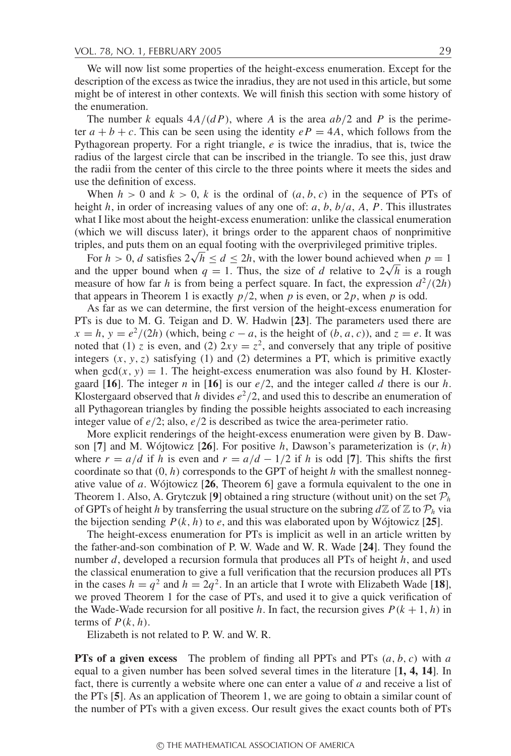We will now list some properties of the height-excess enumeration. Except for the description of the excess as twice the inradius, they are not used in this article, but some might be of interest in other contexts. We will finish this section with some history of the enumeration.

The number *k* equals  $4A/(dP)$ , where *A* is the area  $ab/2$  and *P* is the perimeter  $a + b + c$ . This can be seen using the identity  $eP = 4A$ , which follows from the Pythagorean property. For a right triangle, *e* is twice the inradius, that is, twice the radius of the largest circle that can be inscribed in the triangle. To see this, just draw the radii from the center of this circle to the three points where it meets the sides and use the definition of excess.

When  $h > 0$  and  $k > 0$ , k is the ordinal of  $(a, b, c)$  in the sequence of PTs of height *h*, in order of increasing values of any one of: *a*, *b*, *b*/*a*, *A*, *P*. This illustrates what I like most about the height-excess enumeration: unlike the classical enumeration (which we will discuss later), it brings order to the apparent chaos of nonprimitive triples, and puts them on an equal footing with the overprivileged primitive triples.

For  $h > 0$ , *d* satisfies  $2\sqrt{h} \leq d \leq 2h$ , with the lower bound achieved when  $p = 1$ and the upper bound when  $q = 1$ . Thus, the size of *d* relative to  $2\sqrt{h}$  is a rough measure of how far *h* is from being a perfect square. In fact, the expression  $d^2/(2h)$ that appears in Theorem 1 is exactly  $p/2$ , when p is even, or  $2p$ , when p is odd.

As far as we can determine, the first version of the height-excess enumeration for PTs is due to M. G. Teigan and D. W. Hadwin [**23**]. The parameters used there are  $x = h$ ,  $y = e^2/(2h)$  (which, being  $c - a$ , is the height of  $(b, a, c)$ ), and  $z = e$ . It was noted that (1) *z* is even, and (2)  $2xy = z^2$ , and conversely that any triple of positive integers  $(x, y, z)$  satisfying (1) and (2) determines a PT, which is primitive exactly when  $gcd(x, y) = 1$ . The height-excess enumeration was also found by H. Klostergaard [**16**]. The integer *n* in [**16**] is our *e*/2, and the integer called *d* there is our *h*. Klostergaard observed that *h* divides  $e^2/2$ , and used this to describe an enumeration of all Pythagorean triangles by finding the possible heights associated to each increasing integer value of *e*/2; also, *e*/2 is described as twice the area-perimeter ratio.

More explicit renderings of the height-excess enumeration were given by B. Dawson [7] and M. Wójtowicz [26]. For positive *h*, Dawson's parameterization is  $(r, h)$ where  $r = a/d$  if *h* is even and  $r = a/d - 1/2$  if *h* is odd [7]. This shifts the first coordinate so that  $(0, h)$  corresponds to the GPT of height *h* with the smallest nonnegative value of *a*. Wojtowicz  $[26,$  Theorem 6] gave a formula equivalent to the one in Theorem 1. Also, A. Grytczuk [9] obtained a ring structure (without unit) on the set  $\mathcal{P}_h$ of GPTs of height *h* by transferring the usual structure on the subring  $d\mathbb{Z}$  of  $\mathbb{Z}$  to  $\mathcal{P}_h$  via the bijection sending  $P(k, h)$  to  $e$ , and this was elaborated upon by Wójtowicz [25].

The height-excess enumeration for PTs is implicit as well in an article written by the father-and-son combination of P. W. Wade and W. R. Wade [**24**]. They found the number *d*, developed a recursion formula that produces all PTs of height *h*, and used the classical enumeration to give a full verification that the recursion produces all PTs in the cases  $h = q^2$  and  $h = 2q^2$ . In an article that I wrote with Elizabeth Wade [18], we proved Theorem 1 for the case of PTs, and used it to give a quick verification of the Wade-Wade recursion for all positive *h*. In fact, the recursion gives  $P(k + 1, h)$  in terms of  $P(k, h)$ .

Elizabeth is not related to P. W. and W. R.

**PTs of a given excess** The problem of finding all PPTs and PTs (*a*, *b*, *c*) with *a* equal to a given number has been solved several times in the literature [**1, 4, 14**]. In fact, there is currently a website where one can enter a value of *a* and receive a list of the PTs [**5**]. As an application of Theorem 1, we are going to obtain a similar count of the number of PTs with a given excess. Our result gives the exact counts both of PTs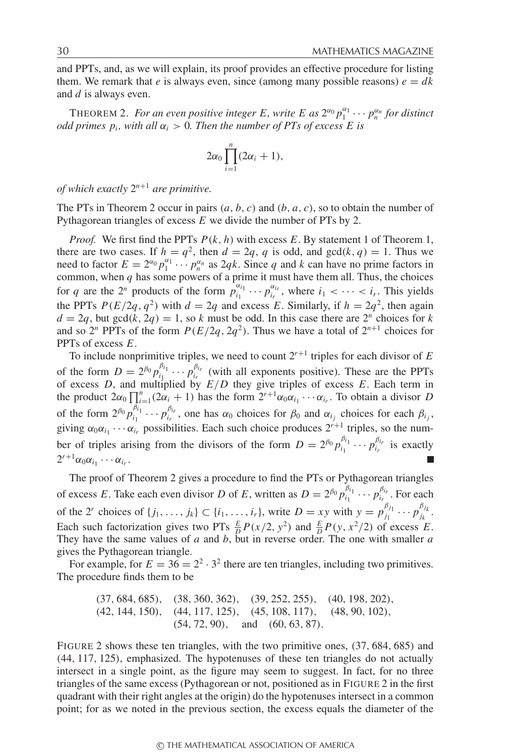and PPTs, and, as we will explain, its proof provides an effective procedure for listing them. We remark that *e* is always even, since (among many possible reasons)  $e = dk$ and *d* is always even.

THEOREM 2. For an even positive integer E, write E as  $2^{\alpha_0}p_1^{\alpha_1}\cdots p_n^{\alpha_n}$  for distinct *odd primes*  $p_i$ *, with all*  $\alpha_i > 0$ . Then the number of PTs of excess E is

$$
2\alpha_0\prod_{i=1}^n(2\alpha_i+1),
$$

*of which exactly* 2*<sup>n</sup>*+<sup>1</sup> *are primitive.*

The PTs in Theorem 2 occur in pairs (*a*, *b*, *c*) and (*b*, *a*, *c*), so to obtain the number of Pythagorean triangles of excess *E* we divide the number of PTs by 2.

*Proof.* We first find the PPTs *P*(*k*, *h*) with excess *E*. By statement 1 of Theorem 1, there are two cases. If  $h = q^2$ , then  $d = 2q$ , *q* is odd, and  $gcd(k, q) = 1$ . Thus we need to factor  $E = 2^{\alpha_0} p_1^{\alpha_1} \cdots p_n^{\alpha_n}$  as 2*qk*. Since *q* and *k* can have no prime factors in common, when *q* has some powers of a prime it must have them all. Thus, the choices for *q* are the  $2^n$  products of the form  $p_{i_1}^{a_{i_1}} \cdots p_{i_r}^{a_{i_r}}$ , where  $i_1 < \cdots < i_r$ . This yields the PPTs  $P(E/2q, q^2)$  with  $d = 2q$  and excess *E*. Similarly, if  $h = 2q^2$ , then again  $d = 2q$ , but  $gcd(k, 2q) = 1$ , so *k* must be odd. In this case there are  $2^n$  choices for *k* and so  $2^n$  PPTs of the form  $P(E/2q, 2q^2)$ . Thus we have a total of  $2^{n+1}$  choices for PPTs of excess *E*.

To include nonprimitive triples, we need to count  $2^{r+1}$  triples for each divisor of  $E$ of the form  $D = 2^{\beta_0} p_{i_1}^{\beta_{i_1}} \cdots p_{i_r}^{\beta_{i_r}}$  (with all exponents positive). These are the PPTs of excess *D*, and multiplied by  $E/D$  they give triples of excess *E*. Each term in the product  $2\alpha_0 \prod_{i=1}^n (2\alpha_i + 1)$  has the form  $2^{r+1}\alpha_0 \alpha_{i_1} \cdots \alpha_{i_r}$ . To obtain a divisor *D* of the form  $2^{\beta_0} p_{i_1}^{\beta_{i_1}} \cdots p_{i_r}^{\beta_{i_r}}$ , one has  $\alpha_0$  choices for  $\beta_0$  and  $\alpha_{i_j}$  choices for each  $\beta_{i_j}$ , giving  $\alpha_0 \alpha_{i_1} \cdots \alpha_{i_r}$  possibilities. Each such choice produces  $2^{r+1}$  triples, so the number of triples arising from the divisors of the form  $D = 2^{\beta_0} p_{i_1}^{\beta_{i_1}} \cdots p_{i_r}^{\beta_{i_r}}$  is exactly  $2^{r+1}\alpha_0\alpha_{i_1}\cdots\alpha_{i_r}$ .

The proof of Theorem 2 gives a procedure to find the PTs or Pythagorean triangles of excess *E*. Take each even divisor *D* of *E*, written as  $D = 2^{\beta_0} p_{i_1}^{\beta_{i_1}} \cdots p_{i_r}^{\beta_{i_r}}$ . For each of the 2<sup>*r*</sup> choices of  $\{j_1, ..., j_k\} \subset \{i_1, ..., i_r\}$ , write  $D = xy$  with  $y = p_{j_1}^{\beta_{j_1}} \cdots p_{j_k}^{\beta_{j_k}}$ . Each such factorization gives two PTs  $\frac{E}{D}P(x/2, y^2)$  and  $\frac{E}{D}P(y, x^2/2)$  of excess *E*. They have the same values of *a* and *b*, but in reverse order. The one with smaller *a* gives the Pythagorean triangle.

For example, for  $E = 36 = 2^2 \cdot 3^2$  there are ten triangles, including two primitives. The procedure finds them to be

$$
(37, 684, 685)
$$
,  $(38, 360, 362)$ ,  $(39, 252, 255)$ ,  $(40, 198, 202)$ ,  $(42, 144, 150)$ ,  $(44, 117, 125)$ ,  $(45, 108, 117)$ ,  $(48, 90, 102)$ ,  $(54, 72, 90)$ , and  $(60, 63, 87)$ .

FIGURE 2 shows these ten triangles, with the two primitive ones, (37, 684, 685) and (44, 117, 125), emphasized. The hypotenuses of these ten triangles do not actually intersect in a single point, as the figure may seem to suggest. In fact, for no three triangles of the same excess (Pythagorean or not, positioned as in FIGURE 2 in the first quadrant with their right angles at the origin) do the hypotenuses intersect in a common point; for as we noted in the previous section, the excess equals the diameter of the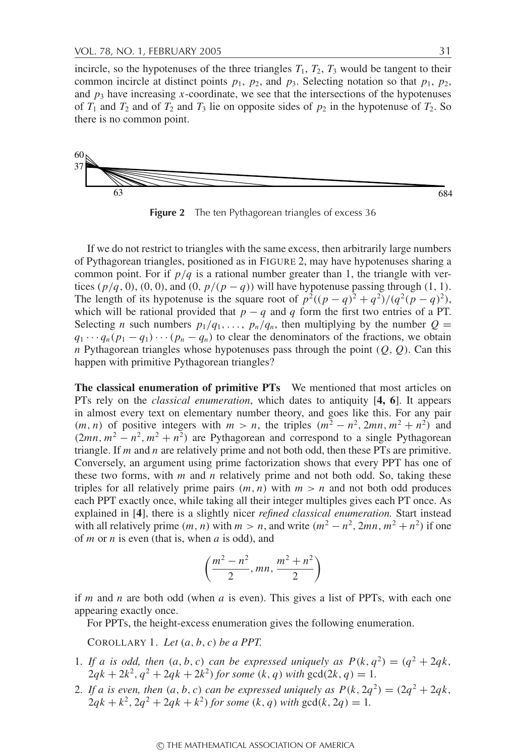incircle, so the hypotenuses of the three triangles  $T_1$ ,  $T_2$ ,  $T_3$  would be tangent to their common incircle at distinct points  $p_1$ ,  $p_2$ , and  $p_3$ . Selecting notation so that  $p_1$ ,  $p_2$ , and  $p_3$  have increasing *x*-coordinate, we see that the intersections of the hypotenuses of  $T_1$  and  $T_2$  and of  $T_2$  and  $T_3$  lie on opposite sides of  $p_2$  in the hypotenuse of  $T_2$ . So there is no common point.



**Figure 2** The ten Pythagorean triangles of excess 36

If we do not restrict to triangles with the same excess, then arbitrarily large numbers of Pythagorean triangles, positioned as in FIGURE 2, may have hypotenuses sharing a common point. For if  $p/q$  is a rational number greater than 1, the triangle with vertices  $(p/q, 0)$ ,  $(0, 0)$ , and  $(0, p/(p-q))$  will have hypotenuse passing through  $(1, 1)$ . The length of its hypotenuse is the square root of  $p^2((p-q)^2+q^2)/(q^2(p-q)^2)$ , which will be rational provided that  $p - q$  and *q* form the first two entries of a PT. Selecting *n* such numbers  $p_1/q_1, \ldots, p_n/q_n$ , then multiplying by the number  $Q =$  $q_1 \cdots q_n (p_1 - q_1) \cdots (p_n - q_n)$  to clear the denominators of the fractions, we obtain *n* Pythagorean triangles whose hypotenuses pass through the point  $(Q, Q)$ . Can this happen with primitive Pythagorean triangles?

**The classical enumeration of primitive PTs** We mentioned that most articles on PTs rely on the *classical enumeration*, which dates to antiquity [**4, 6**]. It appears in almost every text on elementary number theory, and goes like this. For any pair  $(m, n)$  of positive integers with  $m > n$ , the triples  $(m^2 - n^2, 2mn, m^2 + n^2)$  and  $(2mn, m^2 - n^2, m^2 + n^2)$  are Pythagorean and correspond to a single Pythagorean triangle. If *m* and *n* are relatively prime and not both odd, then these PTs are primitive. Conversely, an argument using prime factorization shows that every PPT has one of these two forms, with *m* and *n* relatively prime and not both odd. So, taking these triples for all relatively prime pairs  $(m, n)$  with  $m > n$  and not both odd produces each PPT exactly once, while taking all their integer multiples gives each PT once. As explained in [**4**], there is a slightly nicer *refined classical enumeration.* Start instead with all relatively prime  $(m, n)$  with  $m > n$ , and write  $(m^2 - n^2, 2mn, m^2 + n^2)$  if one of *m* or *n* is even (that is, when *a* is odd), and

$$
\left(\frac{m^2-n^2}{2}, mn, \frac{m^2+n^2}{2}\right)
$$

if *m* and *n* are both odd (when *a* is even). This gives a list of PPTs, with each one appearing exactly once.

For PPTs, the height-excess enumeration gives the following enumeration.

COROLLARY 1. *Let* (*a*, *b*, *c*) *be a PPT.*

- 1. If a is odd, then  $(a, b, c)$  can be expressed uniquely as  $P(k, q^2) = (q^2 + 2qk,$  $2qk + 2k^2$ ,  $q^2 + 2qk + 2k^2$ ) for some  $(k, q)$  with  $gcd(2k, q) = 1$ .
- 2. If a is even, then  $(a, b, c)$  can be expressed uniquely as  $P(k, 2q^2) = (2q^2 + 2qk,$  $2qk + k^2$ ,  $2q^2 + 2qk + k^2$  *for some*  $(k, q)$  *with*  $gcd(k, 2q) = 1$ .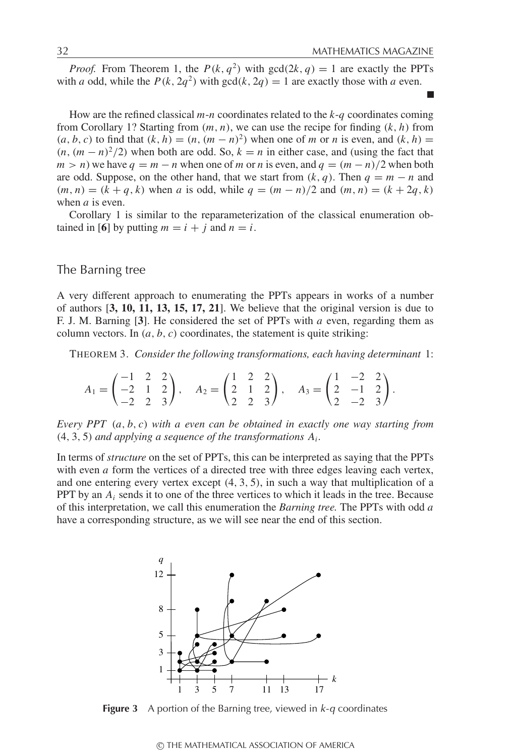*Proof.* From Theorem 1, the  $P(k, q^2)$  with  $gcd(2k, q) = 1$  are exactly the PPTs with *a* odd, while the  $P(k, 2q^2)$  with  $gcd(k, 2q) = 1$  are exactly those with *a* even.

How are the refined classical *m*-*n* coordinates related to the *k*-*q* coordinates coming from Corollary 1? Starting from (*m*, *n*), we can use the recipe for finding (*k*, *h*) from  $(a, b, c)$  to find that  $(k, h) = (n, (m - n)^2)$  when one of *m* or *n* is even, and  $(k, h) =$  $(n, (m - n)^2/2)$  when both are odd. So,  $k = n$  in either case, and (using the fact that  $m > n$ ) we have  $q = m - n$  when one of *m* or *n* is even, and  $q = (m - n)/2$  when both are odd. Suppose, on the other hand, that we start from  $(k, q)$ . Then  $q = m - n$  and  $(m, n) = (k + q, k)$  when *a* is odd, while  $q = (m - n)/2$  and  $(m, n) = (k + 2q, k)$ when *a* is even.

Corollary 1 is similar to the reparameterization of the classical enumeration obtained in [6] by putting  $m = i + j$  and  $n = i$ .

# The Barning tree

A very different approach to enumerating the PPTs appears in works of a number of authors [**3, 10, 11, 13, 15, 17, 21**]. We believe that the original version is due to F. J. M. Barning [**3**]. He considered the set of PPTs with *a* even, regarding them as column vectors. In  $(a, b, c)$  coordinates, the statement is quite striking:

THEOREM 3. *Consider the following transformations, each having determinant* 1:

$$
A_1 = \begin{pmatrix} -1 & 2 & 2 \\ -2 & 1 & 2 \\ -2 & 2 & 3 \end{pmatrix}, \quad A_2 = \begin{pmatrix} 1 & 2 & 2 \\ 2 & 1 & 2 \\ 2 & 2 & 3 \end{pmatrix}, \quad A_3 = \begin{pmatrix} 1 & -2 & 2 \\ 2 & -1 & 2 \\ 2 & -2 & 3 \end{pmatrix}.
$$

*Every PPT* (*a*, *b*, *c*) *with a even can be obtained in exactly one way starting from* (4, 3, 5) *and applying a sequence of the transformations Ai .*

In terms of *structure* on the set of PPTs, this can be interpreted as saying that the PPTs with even *a* form the vertices of a directed tree with three edges leaving each vertex, and one entering every vertex except  $(4, 3, 5)$ , in such a way that multiplication of a PPT by an  $A_i$  sends it to one of the three vertices to which it leads in the tree. Because of this interpretation, we call this enumeration the *Barning tree.* The PPTs with odd *a* have a corresponding structure, as we will see near the end of this section.



**Figure 3** A portion of the Barning tree, viewed in  $k-q$  coordinates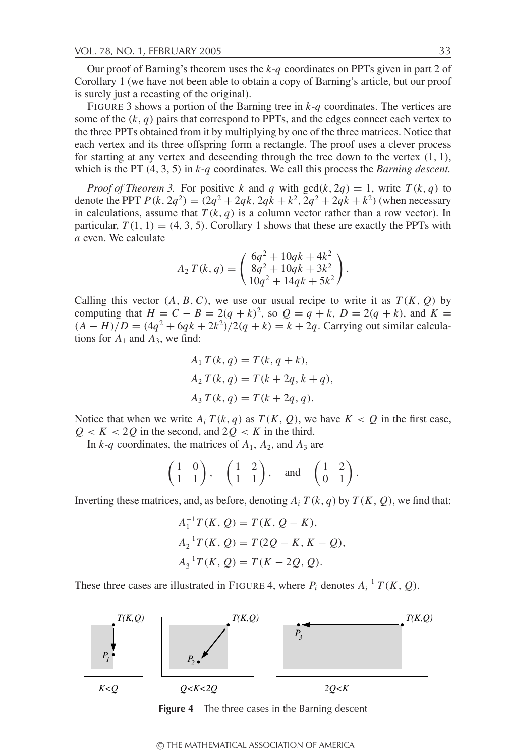Our proof of Barning's theorem uses the *k*-*q* coordinates on PPTs given in part 2 of Corollary 1 (we have not been able to obtain a copy of Barning's article, but our proof is surely just a recasting of the original).

FIGURE 3 shows a portion of the Barning tree in *k*-*q* coordinates. The vertices are some of the  $(k, q)$  pairs that correspond to PPTs, and the edges connect each vertex to the three PPTs obtained from it by multiplying by one of the three matrices. Notice that each vertex and its three offspring form a rectangle. The proof uses a clever process for starting at any vertex and descending through the tree down to the vertex  $(1, 1)$ , which is the PT (4, 3, 5) in *k*-*q* coordinates. We call this process the *Barning descent.*

*Proof of Theorem 3.* For positive *k* and *q* with  $gcd(k, 2q) = 1$ , write  $T(k, q)$  to denote the PPT  $P(k, 2q^2) = (2q^2 + 2qk, 2qk + k^2, 2q^2 + 2qk + k^2)$  (when necessary in calculations, assume that  $T(k, q)$  is a column vector rather than a row vector). In particular,  $T(1, 1) = (4, 3, 5)$ . Corollary 1 shows that these are exactly the PPTs with *a* even. We calculate

$$
A_2 T(k,q) = \begin{pmatrix} 6q^2 + 10qk + 4k^2 \\ 8q^2 + 10qk + 3k^2 \\ 10q^2 + 14qk + 5k^2 \end{pmatrix}.
$$

Calling this vector  $(A, B, C)$ , we use our usual recipe to write it as  $T(K, Q)$  by computing that  $H = C - B = 2(q + k)^2$ , so  $Q = q + k$ ,  $D = 2(q + k)$ , and  $K =$  $(A - H)/D = (4q^2 + 6qk + 2k^2)/2(q + k) = k + 2q$ . Carrying out similar calculations for  $A_1$  and  $A_3$ , we find:

$$
A_1 T(k, q) = T(k, q + k),
$$
  
\n
$$
A_2 T(k, q) = T(k + 2q, k + q),
$$
  
\n
$$
A_3 T(k, q) = T(k + 2q, q).
$$

Notice that when we write  $A_i T(k, q)$  as  $T(K, Q)$ , we have  $K < Q$  in the first case,  $Q < K < 2Q$  in the second, and  $2Q < K$  in the third.

In  $k-q$  coordinates, the matrices of  $A_1$ ,  $A_2$ , and  $A_3$  are

$$
\begin{pmatrix} 1 & 0 \\ 1 & 1 \end{pmatrix}, \quad \begin{pmatrix} 1 & 2 \\ 1 & 1 \end{pmatrix}, \quad \text{and} \quad \begin{pmatrix} 1 & 2 \\ 0 & 1 \end{pmatrix}.
$$

Inverting these matrices, and, as before, denoting  $A_i T(k, q)$  by  $T(K, Q)$ , we find that:

$$
A_1^{-1}T(K, Q) = T(K, Q - K),
$$
  
\n
$$
A_2^{-1}T(K, Q) = T(2Q - K, K - Q),
$$
  
\n
$$
A_3^{-1}T(K, Q) = T(K - 2Q, Q).
$$

These three cases are illustrated in FIGURE 4, where  $P_i$  denotes  $A_i^{-1}T(K, Q)$ .



**Figure 4** The three cases in the Barning descent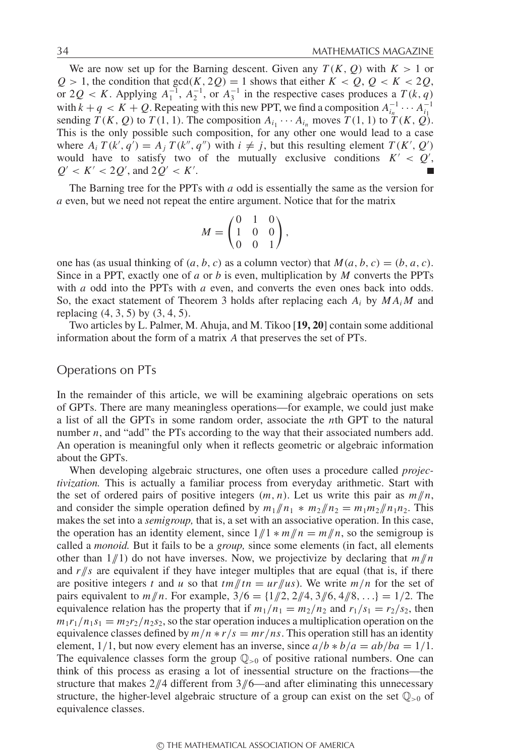We are now set up for the Barning descent. Given any  $T(K, Q)$  with  $K > 1$  or  $Q > 1$ , the condition that  $gcd(K, 2Q) = 1$  shows that either  $K < Q$ ,  $Q < K < 2Q$ , or 2 $Q < K$ . Applying  $A_1^{-1}$ ,  $A_2^{-1}$ , or  $A_3^{-1}$  in the respective cases produces a  $T(k, q)$ with  $k + q < K + Q$ . Repeating with this new PPT, we find a composition  $A_{i_n}^{-1} \cdots A_{i_1}^{-1}$ sending  $\overline{T}(K, Q)$  to  $\overline{T}(1, 1)$ . The composition  $A_{i_1} \cdots A_{i_n}$  moves  $\overline{T}(1, 1)$  to  $\overline{T}(K, Q)$ . This is the only possible such composition, for any other one would lead to a case where  $A_i T(k', q') = A_j T(k'', q'')$  with  $i \neq j$ , but this resulting element  $T(K', Q')$ would have to satisfy two of the mutually exclusive conditions  $K' < Q'$ ,  $Q' < K' < 2Q'$ , and  $2Q' < K'$ .

The Barning tree for the PPTs with *a* odd is essentially the same as the version for *a* even, but we need not repeat the entire argument. Notice that for the matrix

$$
M = \begin{pmatrix} 0 & 1 & 0 \\ 1 & 0 & 0 \\ 0 & 0 & 1 \end{pmatrix},
$$

one has (as usual thinking of  $(a, b, c)$  as a column vector) that  $M(a, b, c) = (b, a, c)$ . Since in a PPT, exactly one of *a* or *b* is even, multiplication by *M* converts the PPTs with *a* odd into the PPTs with *a* even, and converts the even ones back into odds. So, the exact statement of Theorem 3 holds after replacing each  $A_i$  by  $MA_iM$  and replacing  $(4, 3, 5)$  by  $(3, 4, 5)$ .

Two articles by L. Palmer, M. Ahuja, and M. Tikoo [**19, 20**] contain some additional information about the form of a matrix *A* that preserves the set of PTs.

### Operations on PTs

In the remainder of this article, we will be examining algebraic operations on sets of GPTs. There are many meaningless operations—for example, we could just make a list of all the GPTs in some random order, associate the *n*th GPT to the natural number *n*, and "add" the PTs according to the way that their associated numbers add. An operation is meaningful only when it reflects geometric or algebraic information about the GPTs.

When developing algebraic structures, one often uses a procedure called *projectivization.* This is actually a familiar process from everyday arithmetic. Start with the set of ordered pairs of positive integers  $(m, n)$ . Let us write this pair as  $m/n$ , and consider the simple operation defined by  $m_1/n_1 * m_2/n_2 = m_1m_2/n_1n_2$ . This makes the set into a *semigroup,* that is, a set with an associative operation. In this case, the operation has an identity element, since  $1/\sqrt{1 + m/n} = m/\sqrt{n}$ , so the semigroup is called a *monoid.* But it fails to be a *group,* since some elements (in fact, all elements other than  $1/\!\!/ 1$  do not have inverses. Now, we projectivize by declaring that  $m/\!\!/ n$ and  $r/s$  are equivalent if they have integer multiples that are equal (that is, if there are positive integers *t* and *u* so that  $tm/tr = ur/urs)$ . We write  $m/n$  for the set of pairs equivalent to  $m/n$ . For example,  $3/6 = \{1/2, 2/4, 3/6, 4/8, ...\} = 1/2$ . The equivalence relation has the property that if  $m_1/n_1 = m_2/n_2$  and  $r_1/s_1 = r_2/s_2$ , then  $m_1r_1/n_1s_1 = m_2r_2/n_2s_2$ , so the star operation induces a multiplication operation on the equivalence classes defined by  $m/n$   $*$   $r/s$  =  $mr/ns$ . This operation still has an identity element,  $1/1$ , but now every element has an inverse, since  $a/b * b/a = ab/ba = 1/1$ . The equivalence classes form the group  $\mathbb{Q}_{>0}$  of positive rational numbers. One can think of this process as erasing a lot of inessential structure on the fractions—the structure that makes  $2/\sqrt{4}$  different from  $3/\sqrt{6}$ —and after eliminating this unnecessary structure, the higher-level algebraic structure of a group can exist on the set  $\mathbb{Q}_{>0}$  of equivalence classes.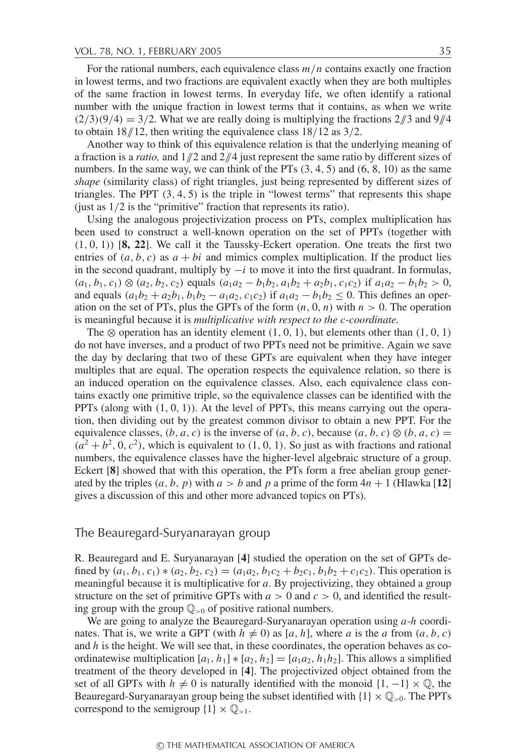For the rational numbers, each equivalence class *m*/*n* contains exactly one fraction in lowest terms, and two fractions are equivalent exactly when they are both multiples of the same fraction in lowest terms. In everyday life, we often identify a rational number with the unique fraction in lowest terms that it contains, as when we write  $(2/3)(9/4) = 3/2$ . What we are really doing is multiplying the fractions  $2/\sqrt{3}$  and  $9/\sqrt{4}$ to obtain 18//12, then writing the equivalence class 18/12 as 3/2.

Another way to think of this equivalence relation is that the underlying meaning of a fraction is a *ratio,* and 1//2 and 2//4 just represent the same ratio by different sizes of numbers. In the same way, we can think of the PTs  $(3, 4, 5)$  and  $(6, 8, 10)$  as the same *shape* (similarity class) of right triangles, just being represented by different sizes of triangles. The PPT  $(3, 4, 5)$  is the triple in "lowest terms" that represents this shape (just as 1/2 is the "primitive" fraction that represents its ratio).

Using the analogous projectivization process on PTs, complex multiplication has been used to construct a well-known operation on the set of PPTs (together with (1, 0, 1)) [**8, 22**]. We call it the Taussky-Eckert operation. One treats the first two entries of  $(a, b, c)$  as  $a + bi$  and mimics complex multiplication. If the product lies in the second quadrant, multiply by  $-i$  to move it into the first quadrant. In formulas,  $(a_1, b_1, c_1) \otimes (a_2, b_2, c_2)$  equals  $(a_1a_2 - b_1b_2, a_1b_2 + a_2b_1, c_1c_2)$  if  $a_1a_2 - b_1b_2 > 0$ , and equals  $(a_1b_2 + a_2b_1, b_1b_2 - a_1a_2, c_1c_2)$  if  $a_1a_2 - b_1b_2 \le 0$ . This defines an operation on the set of PTs, plus the GPTs of the form  $(n, 0, n)$  with  $n > 0$ . The operation is meaningful because it is *multiplicative with respect to the c-coordinate.*

The  $\otimes$  operation has an identity element  $(1, 0, 1)$ , but elements other than  $(1, 0, 1)$ do not have inverses, and a product of two PPTs need not be primitive. Again we save the day by declaring that two of these GPTs are equivalent when they have integer multiples that are equal. The operation respects the equivalence relation, so there is an induced operation on the equivalence classes. Also, each equivalence class contains exactly one primitive triple, so the equivalence classes can be identified with the PPTs (along with  $(1, 0, 1)$ ). At the level of PPTs, this means carrying out the operation, then dividing out by the greatest common divisor to obtain a new PPT. For the equivalence classes,  $(b, a, c)$  is the inverse of  $(a, b, c)$ , because  $(a, b, c) \otimes (b, a, c)$  $(a^{2} + b^{2}, 0, c^{2})$ , which is equivalent to  $(1, 0, 1)$ . So just as with fractions and rational numbers, the equivalence classes have the higher-level algebraic structure of a group. Eckert [**8**] showed that with this operation, the PTs form a free abelian group generated by the triples  $(a, b, p)$  with  $a > b$  and p a prime of the form  $4n + 1$  (Hlawka [12] gives a discussion of this and other more advanced topics on PTs).

# The Beauregard-Suryanarayan group

R. Beauregard and E. Suryanarayan [**4**] studied the operation on the set of GPTs defined by  $(a_1, b_1, c_1) * (a_2, b_2, c_2) = (a_1a_2, b_1c_2 + b_2c_1, b_1b_2 + c_1c_2)$ . This operation is meaningful because it is multiplicative for *a*. By projectivizing, they obtained a group structure on the set of primitive GPTs with  $a > 0$  and  $c > 0$ , and identified the resulting group with the group  $\mathbb{Q}_{>0}$  of positive rational numbers.

We are going to analyze the Beauregard-Suryanarayan operation using *a*-*h* coordinates. That is, we write a GPT (with  $h \neq 0$ ) as [a, h], where a is the a from  $(a, b, c)$ and  $h$  is the height. We will see that, in these coordinates, the operation behaves as coordinatewise multiplication  $[a_1, h_1] * [a_2, h_2] = [a_1 a_2, h_1 h_2]$ . This allows a simplified treatment of the theory developed in [**4**]. The projectivized object obtained from the set of all GPTs with *h*  $\neq$  0 is naturally identified with the monoid {1, −1} ×  $\mathbb{Q}$ , the Beauregard-Suryanarayan group being the subset identified with  $\{1\} \times \mathbb{Q}_{>0}$ . The PPTs correspond to the semigroup  $\{1\} \times \mathbb{Q}_{>1}$ .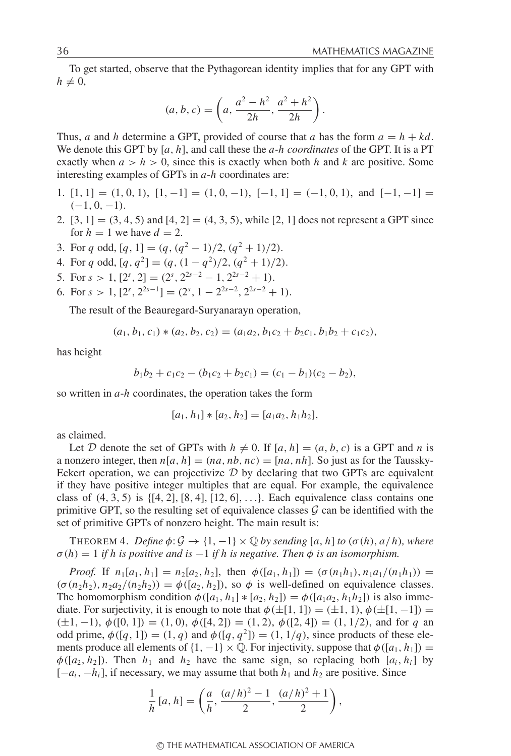To get started, observe that the Pythagorean identity implies that for any GPT with  $h \neq 0$ ,

$$
(a, b, c) = \left(a, \frac{a^2 - h^2}{2h}, \frac{a^2 + h^2}{2h}\right).
$$

Thus, *a* and *h* determine a GPT, provided of course that *a* has the form  $a = h + kd$ . We denote this GPT by [*a*, *h*], and call these the *a-h coordinates* of the GPT. It is a PT exactly when  $a > h > 0$ , since this is exactly when both *h* and *k* are positive. Some interesting examples of GPTs in *a*-*h* coordinates are:

- 1. [1, 1] =  $(1, 0, 1)$ ,  $[1, -1] = (1, 0, -1)$ ,  $[-1, 1] = (-1, 0, 1)$ , and  $[-1, -1] =$  $(-1, 0, -1)$ .
- 2.  $[3, 1] = (3, 4, 5)$  and  $[4, 2] = (4, 3, 5)$ , while  $[2, 1]$  does not represent a GPT since for  $h = 1$  we have  $d = 2$ .
- 3. For *q* odd,  $[q, 1] = (q, (q^2 1)/2, (q^2 + 1)/2)$ .
- 4. For *q* odd,  $[q, q^2] = (q, (1 q^2)/2, (q^2 + 1)/2).$
- 5. For  $s > 1$ ,  $[2^s, 2] = (2^s, 2^{2s-2} 1, 2^{2s-2} + 1)$ .
- 6. For  $s > 1$ ,  $[2^s, 2^{2s-1}] = (2^s, 1 2^{2s-2}, 2^{2s-2} + 1)$ .

The result of the Beauregard-Suryanarayn operation,

$$
(a_1, b_1, c_1) * (a_2, b_2, c_2) = (a_1a_2, b_1c_2 + b_2c_1, b_1b_2 + c_1c_2),
$$

has height

$$
b_1b_2 + c_1c_2 - (b_1c_2 + b_2c_1) = (c_1 - b_1)(c_2 - b_2),
$$

so written in *a*-*h* coordinates, the operation takes the form

$$
[a_1, h_1] * [a_2, h_2] = [a_1 a_2, h_1 h_2],
$$

as claimed.

Let D denote the set of GPTs with  $h \neq 0$ . If  $[a, h] = (a, b, c)$  is a GPT and *n* is a nonzero integer, then  $n[a, h] = (na, nb, nc) = [na, nh]$ . So just as for the Taussky-Eckert operation, we can projectivize  $D$  by declaring that two GPTs are equivalent if they have positive integer multiples that are equal. For example, the equivalence class of  $(4, 3, 5)$  is  $\{[4, 2], [8, 4], [12, 6], \ldots\}$ . Each equivalence class contains one primitive GPT, so the resulting set of equivalence classes  $\mathcal G$  can be identified with the set of primitive GPTs of nonzero height. The main result is:

THEOREM 4. *Define*  $\phi: \mathcal{G} \to \{1, -1\} \times \mathbb{Q}$  *by sending* [*a*, *h*] *to* ( $\sigma$ (*h*), *a*/*h*)*, where*  $\sigma(h) = 1$  *if h is positive and is*  $-1$  *if h is negative. Then*  $\phi$  *is an isomorphism.* 

*Proof.* If  $n_1[a_1, h_1] = n_2[a_2, h_2]$ , then  $\phi([a_1, h_1]) = (\sigma(n_1h_1), n_1a_1/(n_1h_1)) =$  $(\sigma(n_2h_2), n_2a_2/(n_2h_2)) = \phi([a_2, h_2])$ , so  $\phi$  is well-defined on equivalence classes. The homomorphism condition  $\phi([a_1, h_1] * [a_2, h_2]) = \phi([a_1 a_2, h_1 h_2])$  is also immediate. For surjectivity, it is enough to note that  $\phi(\pm[1, 1]) = (\pm 1, 1), \phi(\pm[1, -1]) =$  $(\pm 1, -1), \phi([0, 1]) = (1, 0), \phi([4, 2]) = (1, 2), \phi([2, 4]) = (1, 1/2),$  and for *q* an odd prime,  $\phi([q, 1]) = (1, q)$  and  $\phi([q, q^2]) = (1, 1/q)$ , since products of these elements produce all elements of  $\{1, -1\} \times \mathbb{Q}$ . For injectivity, suppose that  $\phi([a_1, h_1]) =$  $\phi([a_2, h_2])$ . Then  $h_1$  and  $h_2$  have the same sign, so replacing both  $[a_i, h_i]$  by  $[-a_i, -h_i]$ , if necessary, we may assume that both  $h_1$  and  $h_2$  are positive. Since

$$
\frac{1}{h}[a,h] = \left(\frac{a}{h}, \frac{(a/h)^2 - 1}{2}, \frac{(a/h)^2 + 1}{2}\right),\,
$$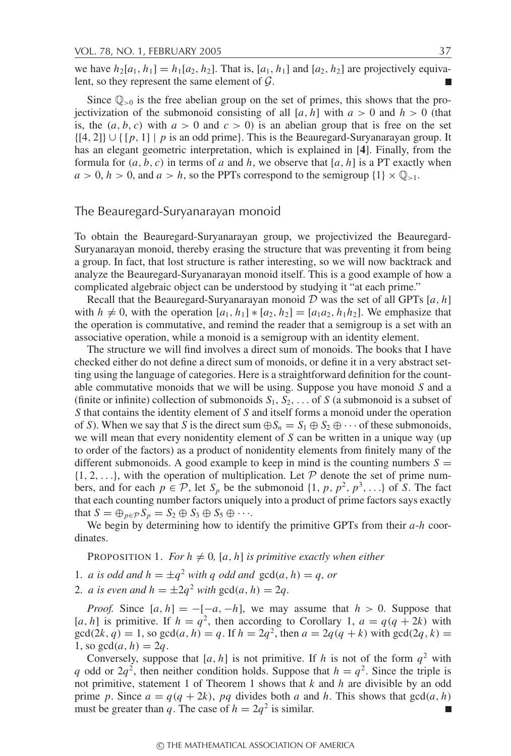we have  $h_2[a_1, h_1] = h_1[a_2, h_2]$ . That is,  $[a_1, h_1]$  and  $[a_2, h_2]$  are projectively equivalent, so they represent the same element of  $\mathcal{G}$ .  $\Box$ 

Since  $\mathbb{O}_{\geq 0}$  is the free abelian group on the set of primes, this shows that the projectivization of the submonoid consisting of all [*a*, *h*] with  $a > 0$  and  $h > 0$  (that is, the  $(a, b, c)$  with  $a > 0$  and  $c > 0$ ) is an abelian group that is free on the set {[4, 2]} ∪ { [*p*, 1] | *p* is an odd prime}. This is the Beauregard-Suryanarayan group. It has an elegant geometric interpretation, which is explained in [**4**]. Finally, from the formula for  $(a, b, c)$  in terms of *a* and *h*, we observe that  $[a, h]$  is a PT exactly when  $a > 0$ ,  $h > 0$ , and  $a > h$ , so the PPTs correspond to the semigroup  $\{1\} \times \mathbb{Q}_{>1}$ .

#### The Beauregard-Suryanarayan monoid

To obtain the Beauregard-Suryanarayan group, we projectivized the Beauregard-Suryanarayan monoid, thereby erasing the structure that was preventing it from being a group. In fact, that lost structure is rather interesting, so we will now backtrack and analyze the Beauregard-Suryanarayan monoid itself. This is a good example of how a complicated algebraic object can be understood by studying it "at each prime."

Recall that the Beauregard-Suryanarayan monoid  $D$  was the set of all GPTs  $[a, h]$ with  $h \neq 0$ , with the operation  $[a_1, h_1] * [a_2, h_2] = [a_1 a_2, h_1 h_2]$ . We emphasize that the operation is commutative, and remind the reader that a semigroup is a set with an associative operation, while a monoid is a semigroup with an identity element.

The structure we will find involves a direct sum of monoids. The books that I have checked either do not define a direct sum of monoids, or define it in a very abstract setting using the language of categories. Here is a straightforward definition for the countable commutative monoids that we will be using. Suppose you have monoid *S* and a (finite or infinite) collection of submonoids  $S_1, S_2, \ldots$  of *S* (a submonoid is a subset of *S* that contains the identity element of *S* and itself forms a monoid under the operation of *S*). When we say that *S* is the direct sum  $\bigoplus S_n = S_1 \oplus S_2 \oplus \cdots$  of these submonoids, we will mean that every nonidentity element of *S* can be written in a unique way (up to order of the factors) as a product of nonidentity elements from finitely many of the different submonoids. A good example to keep in mind is the counting numbers  $S =$  $\{1, 2, \ldots\}$ , with the operation of multiplication. Let  $P$  denote the set of prime numbers, and for each  $p \in \mathcal{P}$ , let  $S_p$  be the submonoid  $\{1, p, p^2, p^3, \ldots\}$  of *S*. The fact that each counting number factors uniquely into a product of prime factors says exactly that  $S = \bigoplus_{p \in \mathcal{P}} S_p = S_2 \oplus S_3 \oplus S_5 \oplus \cdots$ 

We begin by determining how to identify the primitive GPTs from their *a*-*h* coordinates.

PROPOSITION 1. *For*  $h \neq 0$ *, [a, h] is primitive exactly when either* 

1. *a is odd and*  $h = \pm q^2$  *with q odd and*  $gcd(a, h) = q$ , *or* 

2. *a* is even and  $h = \pm 2q^2$  with  $gcd(a, h) = 2q$ .

*Proof.* Since  $[a, h] = -[-a, -h]$ , we may assume that  $h > 0$ . Suppose that [*a*, *h*] is primitive. If  $h = q^2$ , then according to Corollary 1,  $a = q(q + 2k)$  with  $gcd(2k, q) = 1$ , so  $gcd(a, h) = q$ . If  $h = 2q^2$ , then  $a = 2q(q + k)$  with  $gcd(2q, k) =$ 1, so  $gcd(a, h) = 2q$ .

Conversely, suppose that  $[a, h]$  is not primitive. If *h* is not of the form  $q<sup>2</sup>$  with *q* odd or  $2q^2$ , then neither condition holds. Suppose that  $h = q^2$ . Since the triple is not primitive, statement 1 of Theorem 1 shows that *k* and *h* are divisible by an odd prime *p*. Since  $a = q(q + 2k)$ , *pq* divides both *a* and *h*. This shows that  $gcd(a, h)$ must be greater than *q*. The case of  $h = 2q^2$  is similar.  $\Box$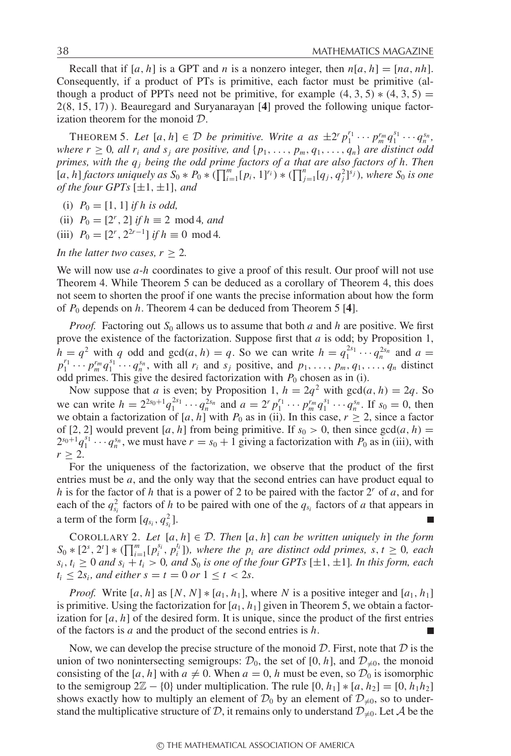Recall that if  $[a, h]$  is a GPT and *n* is a nonzero integer, then  $n[a, h] = [na, nh]$ . Consequently, if a product of PTs is primitive, each factor must be primitive (although a product of PPTs need not be primitive, for example  $(4, 3, 5) * (4, 3, 5) =$ 2(8, 15, 17)). Beauregard and Suryanarayan [**4**] proved the following unique factorization theorem for the monoid D.

THEOREM 5. Let  $[a, h] \in \mathcal{D}$  be primitive. Write a as  $\pm 2^r p_1^{r_1} \cdots p_m^{r_m} q_1^{s_1} \cdots q_n^{s_n}$ *where r*  $\geq$  0*, all r<sub>i</sub> and s<sub>j</sub> are positive, and* { $p_1, \ldots, p_m, q_1, \ldots, q_n$ } *are distinct odd primes, with the qj being the odd prime factors of a that are also factors of h. Then*  $[a, h]$  *factors uniquely as*  $S_0 * P_0 * (\prod_{i=1}^m [p_i, 1]^{r_i}) * (\prod_{j=1}^n [q_j, q_j^2]^{s_j})$ *, where*  $S_0$  *is one of the four GPTs*  $[\pm 1, \pm 1]$ *, and* 

(i)  $P_0 = [1, 1]$  *if h is odd,* 

(ii)  $P_0 = [2^r, 2]$  *if*  $h \equiv 2 \mod 4$ *, and* 

(iii)  $P_0 = [2^r, 2^{2r-1}]$  *if*  $h \equiv 0 \mod 4$ .

*In the latter two cases,*  $r > 2$ *.* 

We will now use *a*-*h* coordinates to give a proof of this result. Our proof will not use Theorem 4. While Theorem 5 can be deduced as a corollary of Theorem 4, this does not seem to shorten the proof if one wants the precise information about how the form of *P*<sup>0</sup> depends on *h*. Theorem 4 can be deduced from Theorem 5 [**4**].

*Proof.* Factoring out *S*<sup>0</sup> allows us to assume that both *a* and *h* are positive. We first prove the existence of the factorization. Suppose first that *a* is odd; by Proposition 1,  $h = q^2$  with *q* odd and gcd(*a*, *h*) = *q*. So we can write  $h = q_1^{2s_1} \cdots q_n^{2s_n}$  and  $a =$  $p_1^{r_1} \cdots p_m^{r_m} q_1^{s_1} \cdots q_n^{s_n}$ , with all  $r_i$  and  $s_j$  positive, and  $p_1, \ldots, p_m, q_1, \ldots, q_n$  distinct odd primes. This give the desired factorization with  $P_0$  chosen as in (i).

Now suppose that *a* is even; by Proposition 1,  $h = 2q^2$  with  $gcd(a, h) = 2q$ . So we can write  $h = 2^{2s_0+1} q_1^{2s_1} \cdots q_n^{2s_n}$  and  $a = 2^r p_1^{r_1} \cdots p_m^{r_m} q_1^{s_1} \cdots q_n^{s_n}$ . If  $s_0 = 0$ , then we obtain a factorization of  $[a, h]$  with  $P_0$  as in (ii). In this case,  $r \geq 2$ , since a factor of [2, 2] would prevent [a, h] from being primitive. If  $s_0 > 0$ , then since  $gcd(a, h) =$  $2^{s_0+1}q_1^{s_1}\cdots q_n^{s_n}$ , we must have  $r = s_0 + 1$  giving a factorization with  $P_0$  as in (iii), with  $r \geq 2$ .

For the uniqueness of the factorization, we observe that the product of the first entries must be *a*, and the only way that the second entries can have product equal to *h* is for the factor of *h* that is a power of 2 to be paired with the factor 2*<sup>r</sup>* of *a*, and for each of the  $q_{s_i}^2$  factors of *h* to be paired with one of the  $q_{s_i}$  factors of *a* that appears in a term of the form  $[q_{s_i}, q_{s_i}^2]$ .

COROLLARY 2. Let  $[a, h] \in \mathcal{D}$ . Then  $[a, h]$  can be written uniquely in the form  $S_0 * [2^s, 2^t] * (\prod_{i=1}^m [p_i^{s_i}, p_i^{t_i}])$ , where the  $p_i$  are distinct odd primes, s,  $t \ge 0$ , each  $s_i$ ,  $t_i \geq 0$  *and*  $s_i + t_i > 0$ , *and*  $S_0$  *is one of the four GPTs* [ $\pm 1, \pm 1$ ]*. In this form, each*  $t_i \le 2s_i$ *, and either s = t = 0 or*  $1 \le t < 2s$ *.* 

*Proof.* Write [a, h] as  $[N, N] * [a_1, h_1]$ , where *N* is a positive integer and [a<sub>1</sub>, h<sub>1</sub>] is primitive. Using the factorization for  $[a_1, h_1]$  given in Theorem 5, we obtain a factorization for  $[a, h]$  of the desired form. It is unique, since the product of the first entries of the factors is *a* and the product of the second entries is *h*.

Now, we can develop the precise structure of the monoid  $D$ . First, note that  $D$  is the union of two nonintersecting semigroups:  $\mathcal{D}_0$ , the set of [0, *h*], and  $\mathcal{D}_{\neq 0}$ , the monoid consisting of the [*a*, *h*] with  $a \neq 0$ . When  $a = 0$ , *h* must be even, so  $\mathcal{D}_0$  is isomorphic to the semigroup  $2\mathbb{Z} - \{0\}$  under multiplication. The rule  $[0, h_1] * [a, h_2] = [0, h_1h_2]$ shows exactly how to multiply an element of  $\mathcal{D}_0$  by an element of  $\mathcal{D}_{\neq 0}$ , so to understand the multiplicative structure of D, it remains only to understand  $\mathcal{D}_{\neq 0}$ . Let A be the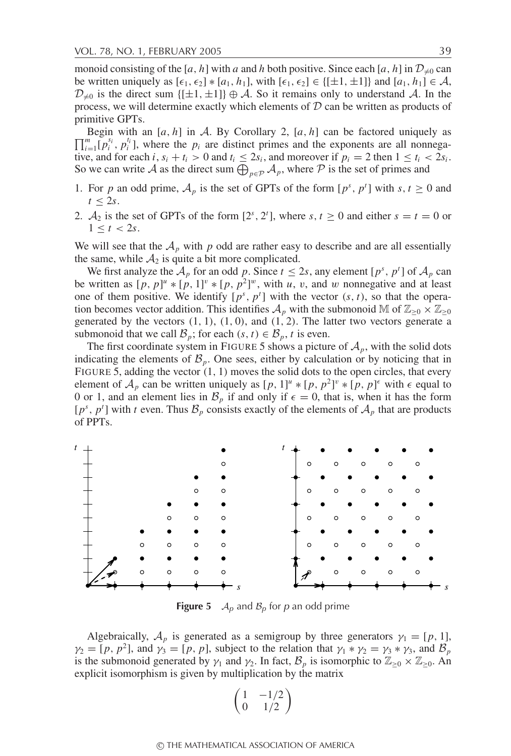monoid consisting of the [*a*, *h*] with *a* and *h* both positive. Since each [*a*, *h*] in  $\mathcal{D}_{\neq 0}$  can be written uniquely as  $[\epsilon_1, \epsilon_2]$  ∗ $[a_1, h_1]$ , with  $[\epsilon_1, \epsilon_2]$  ∈  $\{[\pm 1, \pm 1]\}$  and  $[a_1, h_1]$  ∈ A,  $\mathcal{D}_{\neq 0}$  is the direct sum  $\{[\pm 1, \pm 1]\} \oplus \mathcal{A}$ . So it remains only to understand  $\mathcal{A}$ . In the process, we will determine exactly which elements of  $D$  can be written as products of primitive GPTs.

 $\prod_{i=1}^{m} [p_i^{s_i}, p_i^{t_i}]$ , where the  $p_i$  are distinct primes and the exponents are all nonnega-Begin with an  $[a, h]$  in A. By Corollary 2,  $[a, h]$  can be factored uniquely as tive, and for each *i*,  $s_i + t_i > 0$  and  $t_i \le 2s_i$ , and moreover if  $p_i = 2$  then  $1 \le t_i < 2s_i$ . So we can write A as the direct sum  $\bigoplus_{p \in \mathcal{P}} A_p$ , where P is the set of primes and

- 1. For *p* an odd prime,  $A_p$  is the set of GPTs of the form  $[p^s, p^t]$  with  $s, t \ge 0$  and  $t \leq 2s$ .
- 2.  $A_2$  is the set of GPTs of the form  $[2^s, 2^t]$ , where  $s, t \ge 0$  and either  $s = t = 0$  or  $1 \le t < 2s$ .

We will see that the  $A_p$  with  $p$  odd are rather easy to describe and are all essentially the same, while  $A_2$  is quite a bit more complicated.

We first analyze the  $\mathcal{A}_p$  for an odd p. Since  $t \le 2s$ , any element  $[p^s, p^t]$  of  $\mathcal{A}_p$  can be written as  $[p, p]^u * [p, 1]^v * [p, p^2]^w$ , with *u*, *v*, and *w* nonnegative and at least one of them positive. We identify  $[p^s, p^t]$  with the vector  $(s, t)$ , so that the operation becomes vector addition. This identifies  $A_p$  with the submonoid M of  $\mathbb{Z}_{\geq 0} \times \mathbb{Z}_{\geq 0}$ generated by the vectors  $(1, 1)$ ,  $(1, 0)$ , and  $(1, 2)$ . The latter two vectors generate a submonoid that we call  $\mathcal{B}_p$ ; for each  $(s, t) \in \mathcal{B}_p$ , *t* is even.

The first coordinate system in FIGURE 5 shows a picture of  $A_p$ , with the solid dots indicating the elements of  $\mathcal{B}_p$ . One sees, either by calculation or by noticing that in FIGURE 5, adding the vector (1, 1) moves the solid dots to the open circles, that every element of  $\mathcal{A}_p$  can be written uniquely as  $[p, 1]^u * [p, p^2]^v * [p, p]^{\epsilon}$  with  $\epsilon$  equal to 0 or 1, and an element lies in  $\mathcal{B}_p$  if and only if  $\epsilon = 0$ , that is, when it has the form  $[p^s, p^t]$  with *t* even. Thus  $\mathcal{B}_p$  consists exactly of the elements of  $\mathcal{A}_p$  that are products of PPTs.



**Figure 5**  $A_p$  and  $B_p$  for p an odd prime

Algebraically,  $A_p$  is generated as a semigroup by three generators  $\gamma_1 = [p, 1]$ ,  $\gamma_2 = [p, p^2]$ , and  $\gamma_3 = [p, p]$ , subject to the relation that  $\gamma_1 * \gamma_2 = \gamma_3 * \gamma_3$ , and  $\mathcal{B}_p$ is the submonoid generated by  $\gamma_1$  and  $\gamma_2$ . In fact,  $\mathcal{B}_p$  is isomorphic to  $\mathbb{Z}_{\geq 0} \times \mathbb{Z}_{\geq 0}$ . An explicit isomorphism is given by multiplication by the matrix

$$
\begin{pmatrix}\n1 & -1/2 \\
0 & 1/2\n\end{pmatrix}
$$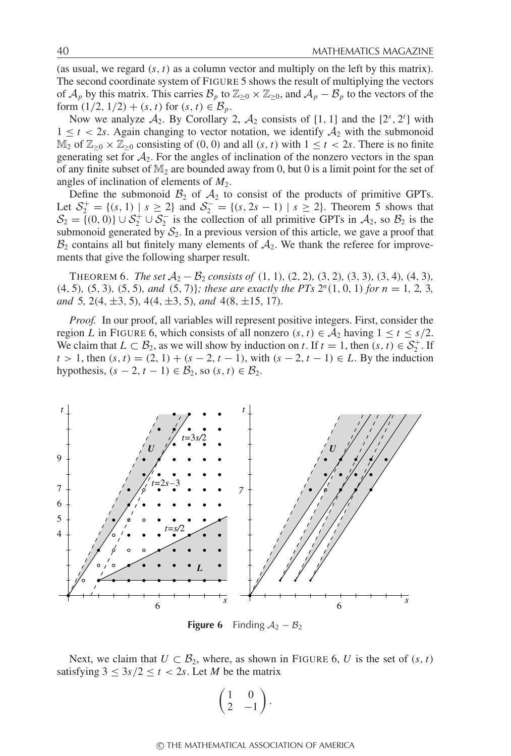(as usual, we regard  $(s, t)$  as a column vector and multiply on the left by this matrix). The second coordinate system of FIGURE 5 shows the result of multiplying the vectors of  $\mathcal{A}_p$  by this matrix. This carries  $\mathcal{B}_p$  to  $\mathbb{Z}_{\geq 0} \times \mathbb{Z}_{\geq 0}$ , and  $\mathcal{A}_p - \mathcal{B}_p$  to the vectors of the form  $(1/2, 1/2) + (s, t)$  for  $(s, t) \in \mathcal{B}_p$ .

Now we analyze  $A_2$ . By Corollary 2,  $A_2$  consists of [1, 1] and the  $[2^s, 2^t]$  with  $1 \leq t < 2s$ . Again changing to vector notation, we identify  $A_2$  with the submonoid  $\mathbb{M}_2$  of  $\mathbb{Z}_{\geq 0} \times \mathbb{Z}_{\geq 0}$  consisting of  $(0, 0)$  and all  $(s, t)$  with  $1 \leq t < 2s$ . There is no finite generating set for  $A_2$ . For the angles of inclination of the nonzero vectors in the span of any finite subset of  $M_2$  are bounded away from 0, but 0 is a limit point for the set of angles of inclination of elements of  $M_2$ .

Define the submonoid  $\mathcal{B}_2$  of  $\mathcal{A}_2$  to consist of the products of primitive GPTs. Let  $S_2^+ = \{(s, 1) \mid s \ge 2\}$  and  $S_2^- = \{(s, 2s - 1) \mid s \ge 2\}$ . Theorem 5 shows that  $S_2 = \{(0, 0)\} \cup S_2^+ \cup S_2^-$  is the collection of all primitive GPTs in  $A_2$ , so  $B_2$  is the submonoid generated by  $S_2$ . In a previous version of this article, we gave a proof that  $\mathcal{B}_2$  contains all but finitely many elements of  $\mathcal{A}_2$ . We thank the referee for improvements that give the following sharper result.

**THEOREM 6.** *The set*  $A_2 - B_2$  *consists of*  $(1, 1)$ *,*  $(2, 2)$ *,*  $(3, 2)$ *,*  $(3, 3)$ *,*  $(3, 4)$ *,*  $(4, 3)$ *,* (4, 5)*,* (5, 3)*,* (5, 5)*, and* (5, 7)}*; these are exactly the PTs* 2*<sup>n</sup>*(1, 0, 1) *for n* = 1*,* 2*,* 3*, and* 5*,* 2(4, ±3, 5)*,* 4(4, ±3, 5)*, and* 4(8, ±15, 17)*.*

*Proof.* In our proof, all variables will represent positive integers. First, consider the region *L* in FIGURE 6, which consists of all nonzero  $(s, t) \in A_2$  having  $1 \le t \le s/2$ . We claim that  $L \subset \mathcal{B}_2$ , as we will show by induction on *t*. If  $t = 1$ , then  $(s, t) \in \mathcal{S}_2^+$ . If  $t > 1$ , then  $(s, t) = (2, 1) + (s - 2, t - 1)$ , with  $(s - 2, t - 1) \in L$ . By the induction hypothesis,  $(s - 2, t - 1) \in \mathcal{B}_2$ , so  $(s, t) \in \mathcal{B}_2$ .



**Figure 6** Finding  $A_2 - B_2$ 

Next, we claim that  $U \subset \mathcal{B}_2$ , where, as shown in FIGURE 6, U is the set of  $(s, t)$ satisfying  $3 \leq 3s/2 \leq t < 2s$ . Let *M* be the matrix

$$
\begin{pmatrix} 1 & 0 \\ 2 & -1 \end{pmatrix}.
$$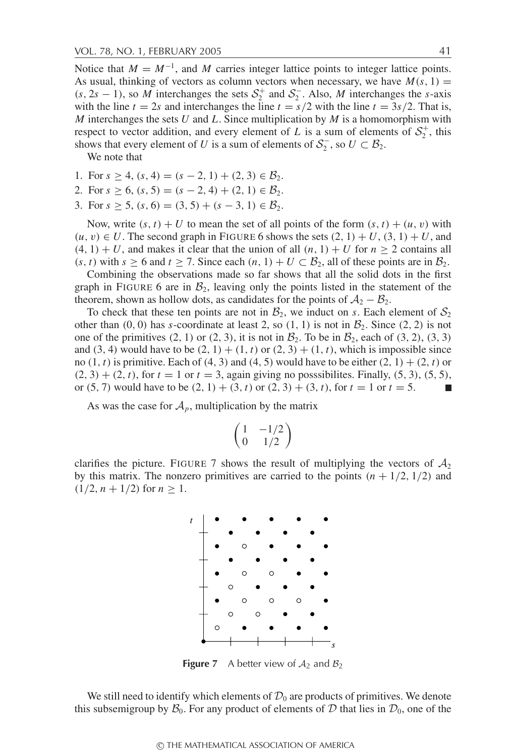Notice that  $M = M^{-1}$ , and M carries integer lattice points to integer lattice points. As usual, thinking of vectors as column vectors when necessary, we have  $M(s, 1)$  =  $(s, 2s - 1)$ , so *M* interchanges the sets  $S_2^+$  and  $S_2^-$ . Also, *M* interchanges the *s*-axis with the line  $t = 2s$  and interchanges the line  $t = s/2$  with the line  $t = 3s/2$ . That is, *M* interchanges the sets *U* and *L*. Since multiplication by *M* is a homomorphism with respect to vector addition, and every element of *L* is a sum of elements of  $S_2^+$ , this shows that every element of *U* is a sum of elements of  $S_2^-$ , so  $U \subset B_2$ .

We note that

- 1. For  $s \geq 4$ ,  $(s, 4) = (s 2, 1) + (2, 3) \in \mathcal{B}_2$ .
- 2. For  $s \ge 6$ ,  $(s, 5) = (s 2, 4) + (2, 1) \in \mathcal{B}_2$ .
- 3. For  $s \ge 5$ ,  $(s, 6) = (3, 5) + (s 3, 1) \in \mathcal{B}_2$ .

Now, write  $(s, t) + U$  to mean the set of all points of the form  $(s, t) + (u, v)$  with  $(u, v) \in U$ . The second graph in FIGURE 6 shows the sets  $(2, 1) + U$ ,  $(3, 1) + U$ , and  $(4, 1) + U$ , and makes it clear that the union of all  $(n, 1) + U$  for  $n \ge 2$  contains all  $(s, t)$  with  $s \ge 6$  and  $t \ge 7$ . Since each  $(n, 1) + U \subset \mathcal{B}_2$ , all of these points are in  $\mathcal{B}_2$ .

Combining the observations made so far shows that all the solid dots in the first graph in FIGURE 6 are in  $\mathcal{B}_2$ , leaving only the points listed in the statement of the theorem, shown as hollow dots, as candidates for the points of  $A_2 - B_2$ .

To check that these ten points are not in  $\mathcal{B}_2$ , we induct on *s*. Each element of  $\mathcal{S}_2$ other than  $(0, 0)$  has *s*-coordinate at least 2, so  $(1, 1)$  is not in  $\mathcal{B}_2$ . Since  $(2, 2)$  is not one of the primitives  $(2, 1)$  or  $(2, 3)$ , it is not in  $\mathcal{B}_2$ . To be in  $\mathcal{B}_2$ , each of  $(3, 2)$ ,  $(3, 3)$ and (3, 4) would have to be  $(2, 1) + (1, t)$  or  $(2, 3) + (1, t)$ , which is impossible since no  $(1, t)$  is primitive. Each of  $(4, 3)$  and  $(4, 5)$  would have to be either  $(2, 1) + (2, t)$  or  $(2, 3) + (2, t)$ , for  $t = 1$  or  $t = 3$ , again giving no posssibilites. Finally,  $(5, 3)$ ,  $(5, 5)$ , or (5, 7) would have to be  $(2, 1) + (3, t)$  or  $(2, 3) + (3, t)$ , for  $t = 1$  or  $t = 5$ .  $\Box$ 

As was the case for  $A_p$ , multiplication by the matrix

$$
\left(\begin{matrix} 1 & -1/2 \\ 0 & 1/2 \end{matrix}\right)
$$

clarifies the picture. FIGURE 7 shows the result of multiplying the vectors of  $\mathcal{A}_2$ by this matrix. The nonzero primitives are carried to the points  $(n + 1/2, 1/2)$  and  $(1/2, n + 1/2)$  for  $n \ge 1$ .



**Figure 7** A better view of  $A_2$  and  $B_2$ 

We still need to identify which elements of  $\mathcal{D}_0$  are products of primitives. We denote this subsemigroup by  $\mathcal{B}_0$ . For any product of elements of D that lies in  $\mathcal{D}_0$ , one of the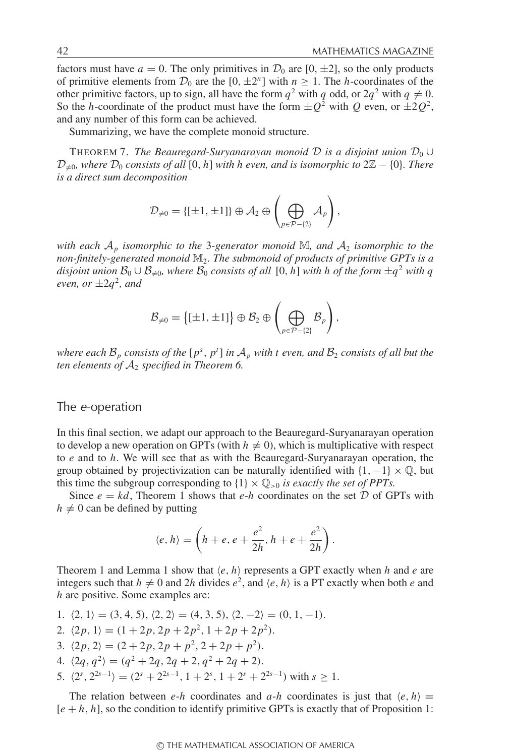factors must have  $a = 0$ . The only primitives in  $\mathcal{D}_0$  are  $[0, \pm 2]$ , so the only products of primitive elements from  $\mathcal{D}_0$  are the  $[0, \pm 2^n]$  with  $n \geq 1$ . The *h*-coordinates of the other primitive factors, up to sign, all have the form  $q^2$  with *q* odd, or  $2q^2$  with  $q \neq 0$ . So the *h*-coordinate of the product must have the form  $\pm Q^2$  with *Q* even, or  $\pm 2Q^2$ , and any number of this form can be achieved.

Summarizing, we have the complete monoid structure.

THEOREM 7. *The Beauregard-Suryanarayan monoid*  $D$  *is a disjoint union*  $D_0 \cup$  $\mathcal{D}_{\neq 0}$ , where  $\mathcal{D}_0$  consists of all [0, h] with h even, and is isomorphic to  $2\mathbb{Z} - \{0\}$ . There *is a direct sum decomposition*

$$
\mathcal{D}_{\neq 0} = \{[\pm 1, \pm 1]\} \oplus \mathcal{A}_2 \oplus \left(\bigoplus_{p \in \mathcal{P} - \{2\}} \mathcal{A}_p\right),\
$$

*with each*  $A_p$  *isomorphic to the* 3-generator monoid  $M$ , and  $A_2$  *isomorphic to the non-finitely-generated monoid* M2*. The submonoid of products of primitive GPTs is a disjoint union*  $\mathcal{B}_0 \cup \mathcal{B}_{\neq 0}$ *, where*  $\mathcal{B}_0$  *consists of all* [0, *h*] *with h of the form*  $\pm q^2$  *with* q *even, or*  $\pm 2q^2$ *, and* 

$$
\mathcal{B}_{\neq 0} = \{[\pm 1, \pm 1]\} \oplus \mathcal{B}_2 \oplus \left(\bigoplus_{p \in \mathcal{P} - \{2\}} \mathcal{B}_p\right),\
$$

*where each*  $\mathcal{B}_p$  *consists of the*  $[p^s, p^t]$  *in*  $\mathcal{A}_p$  *with t even, and*  $\mathcal{B}_2$  *consists of all but the ten elements of*  $A_2$  *specified in Theorem 6.* 

### The <sup>e</sup>-operation

In this final section, we adapt our approach to the Beauregard-Suryanarayan operation to develop a new operation on GPTs (with  $h \neq 0$ ), which is multiplicative with respect to *e* and to *h*. We will see that as with the Beauregard-Suryanarayan operation, the group obtained by projectivization can be naturally identified with  $\{1, -1\} \times \mathbb{Q}$ , but this time the subgroup corresponding to  $\{1\} \times \mathbb{Q}_{>0}$  *is exactly the set of PPTs.* 

Since  $e = kd$ , Theorem 1 shows that  $e-h$  coordinates on the set  $D$  of GPTs with  $h \neq 0$  can be defined by putting

$$
\langle e, h \rangle = \left( h + e, e + \frac{e^2}{2h}, h + e + \frac{e^2}{2h} \right).
$$

Theorem 1 and Lemma 1 show that  $\langle e, h \rangle$  represents a GPT exactly when *h* and *e* are integers such that  $h \neq 0$  and 2*h* divides  $e^2$ , and  $\langle e, h \rangle$  is a PT exactly when both *e* and *h* are positive. Some examples are:

- 1.  $\langle 2, 1 \rangle = (3, 4, 5), \langle 2, 2 \rangle = (4, 3, 5), \langle 2, -2 \rangle = (0, 1, -1).$ 2.  $\langle 2p, 1 \rangle = (1 + 2p, 2p + 2p^2, 1 + 2p + 2p^2).$ 3.  $\langle 2p, 2 \rangle = (2 + 2p, 2p + p^2, 2 + 2p + p^2).$ 4.  $\langle 2q, q^2 \rangle = (q^2 + 2q, 2q + 2, q^2 + 2q + 2).$
- 5.  $\langle 2^s, 2^{2s-1} \rangle = (2^s + 2^{2s-1}, 1 + 2^s, 1 + 2^s + 2^{2s-1})$  with  $s \ge 1$ .

The relation between *e-h* coordinates and *a-h* coordinates is just that  $\langle e, h \rangle =$ [*e* + *h*, *h*], so the condition to identify primitive GPTs is exactly that of Proposition 1: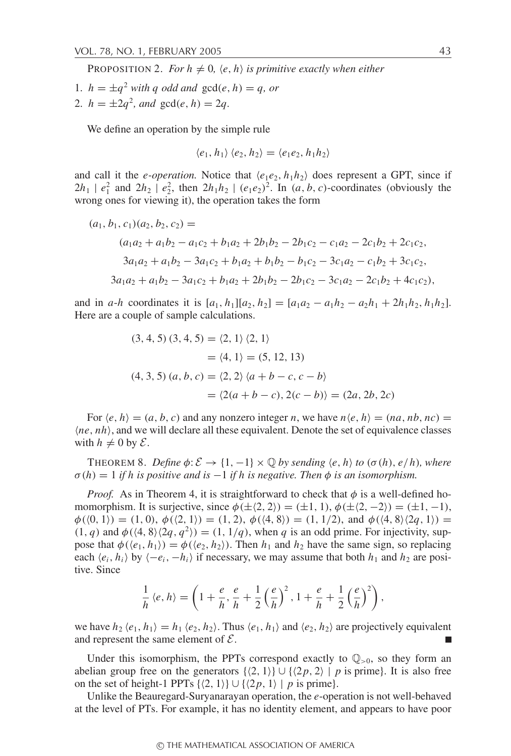PROPOSITION 2. *For*  $h \neq 0$ *,*  $\langle e, h \rangle$  *is primitive exactly when either* 

- 1.  $h = \pm a^2$  *with q odd and*  $gcd(e, h) = q$ , *or*
- 2.  $h = \pm 2q^2$ , and  $gcd(e, h) = 2q$ .

We define an operation by the simple rule

$$
\langle e_1, h_1 \rangle \langle e_2, h_2 \rangle = \langle e_1 e_2, h_1 h_2 \rangle
$$

and call it the *e-operation*. Notice that  $\langle e_1e_2, h_1h_2 \rangle$  does represent a GPT, since if  $2h_1$  |  $e_1^2$  and  $2h_2$  |  $e_2^2$ , then  $2h_1h_2$  |  $(e_1e_2)^2$ . In  $(a, b, c)$ -coordinates (obviously the wrong ones for viewing it), the operation takes the form

$$
(a_1, b_1, c_1)(a_2, b_2, c_2) =
$$
  
\n
$$
(a_1a_2 + a_1b_2 - a_1c_2 + b_1a_2 + 2b_1b_2 - 2b_1c_2 - c_1a_2 - 2c_1b_2 + 2c_1c_2,
$$
  
\n
$$
3a_1a_2 + a_1b_2 - 3a_1c_2 + b_1a_2 + b_1b_2 - b_1c_2 - 3c_1a_2 - c_1b_2 + 3c_1c_2,
$$
  
\n
$$
3a_1a_2 + a_1b_2 - 3a_1c_2 + b_1a_2 + 2b_1b_2 - 2b_1c_2 - 3c_1a_2 - 2c_1b_2 + 4c_1c_2),
$$

and in *a*-*h* coordinates it is  $[a_1, h_1][a_2, h_2] = [a_1a_2 - a_1h_2 - a_2h_1 + 2h_1h_2, h_1h_2].$ Here are a couple of sample calculations.

$$
(3, 4, 5) (3, 4, 5) = \langle 2, 1 \rangle \langle 2, 1 \rangle
$$
  
=  $\langle 4, 1 \rangle = (5, 12, 13)$   

$$
(4, 3, 5) (a, b, c) = \langle 2, 2 \rangle \langle a + b - c, c - b \rangle
$$
  
=  $\langle 2(a + b - c), 2(c - b) \rangle = (2a, 2b, 2c)$ 

For  $\langle e, h \rangle = (a, b, c)$  and any nonzero integer *n*, we have  $n \langle e, h \rangle = (na, nb, nc)$  $\langle ne, nh \rangle$ , and we will declare all these equivalent. Denote the set of equivalence classes with  $h \neq 0$  by  $\mathcal{E}$ .

THEOREM 8. *Define*  $\phi: \mathcal{E} \to \{1, -1\} \times \mathbb{Q}$  by sending  $\langle e, h \rangle$  to  $(\sigma(h), e/h)$ , where  $\sigma(h) = 1$  *if h is positive and is*  $-1$  *if h is negative. Then*  $\phi$  *is an isomorphism.* 

*Proof.* As in Theorem 4, it is straightforward to check that  $\phi$  is a well-defined homomorphism. It is surjective, since  $\phi(\pm \langle 2, 2 \rangle) = (\pm 1, 1), \phi(\pm \langle 2, -2 \rangle) = (\pm 1, -1),$  $\phi(\langle 0, 1 \rangle) = (1, 0), \phi(\langle 2, 1 \rangle) = (1, 2), \phi(\langle 4, 8 \rangle) = (1, 1/2), \text{ and } \phi(\langle 4, 8 \rangle \langle 2q, 1 \rangle) =$  $(1, q)$  and  $\phi$ ( $\langle 4, 8 \rangle$  $\langle 2q, q^2 \rangle$ ) = (1, 1/*q*), when *q* is an odd prime. For injectivity, suppose that  $\phi(\langle e_1, h_1 \rangle) = \phi(\langle e_2, h_2 \rangle)$ . Then  $h_1$  and  $h_2$  have the same sign, so replacing each  $\langle e_i, h_i \rangle$  by  $\langle -e_i, -h_i \rangle$  if necessary, we may assume that both  $h_1$  and  $h_2$  are positive. Since

$$
\frac{1}{h} \langle e, h \rangle = \left( 1 + \frac{e}{h}, \frac{e}{h} + \frac{1}{2} \left( \frac{e}{h} \right)^2, 1 + \frac{e}{h} + \frac{1}{2} \left( \frac{e}{h} \right)^2 \right),
$$

we have  $h_2$   $\langle e_1, h_1 \rangle = h_1 \langle e_2, h_2 \rangle$ . Thus  $\langle e_1, h_1 \rangle$  and  $\langle e_2, h_2 \rangle$  are projectively equivalent and represent the same element of  $\mathcal{E}$ .

Under this isomorphism, the PPTs correspond exactly to  $\mathbb{Q}_{>0}$ , so they form an abelian group free on the generators  $\{(2, 1)\} \cup \{(2p, 2) \mid p$  is prime). It is also free on the set of height-1 PPTs  $\{\langle 2, 1 \rangle\} \cup \{\langle 2p, 1 \rangle \mid p$  is prime}.

Unlike the Beauregard-Suryanarayan operation, the *e*-operation is not well-behaved at the level of PTs. For example, it has no identity element, and appears to have poor